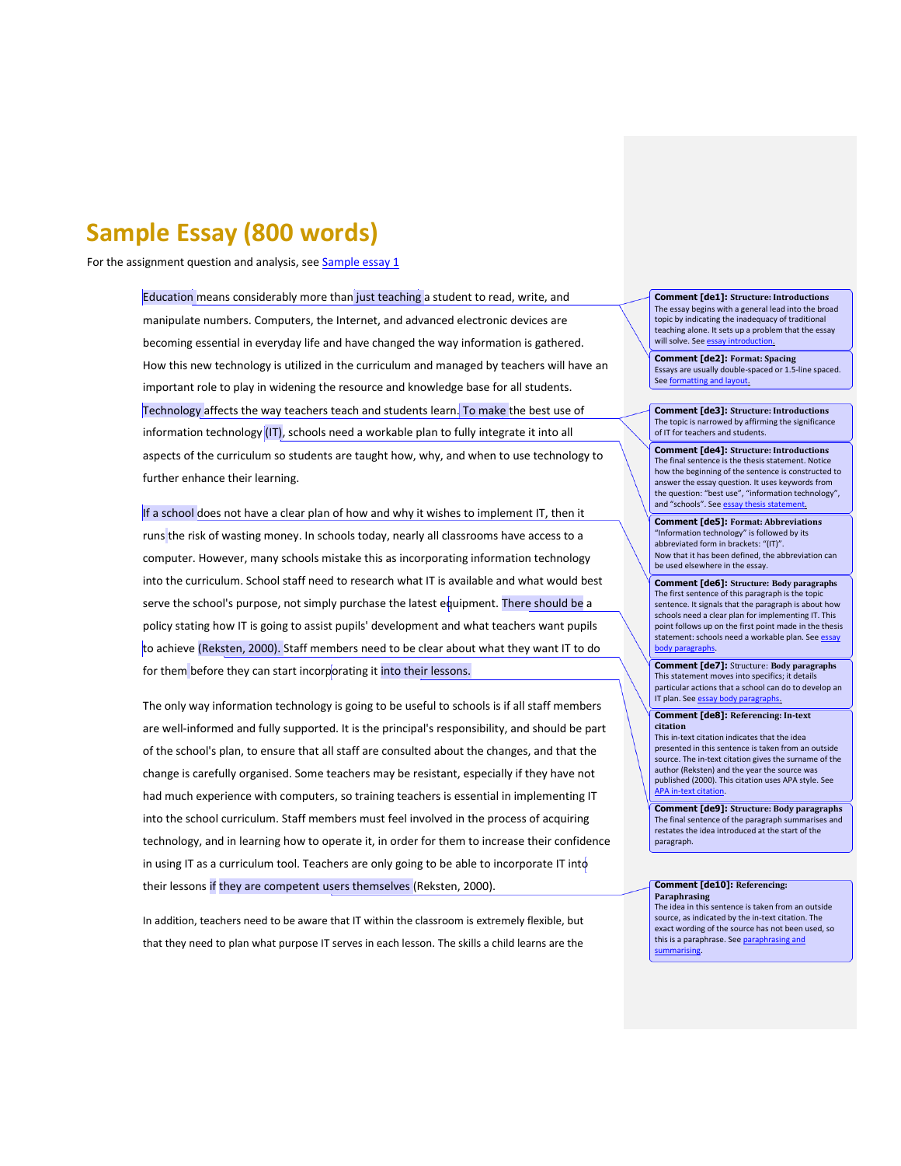# **Sample Essay (800 words)**

For the assignment question and analysis, se[e Sample essay 1](http://owll.massey.ac.nz/sample-assignments/sample-essay-1.php)

Education means considerably more than just teaching a student to read, write, and manipulate numbers. Computers, the Internet, and advanced electronic devices are becoming essential in everyday life and have changed the way information is gathered. How this new technology is utilized in the curriculum and managed by teachers will have an important role to play in widening the resource and knowledge base for all students. Technology affects the way teachers teach and students learn. To make the best use of information technology  $(IT)$ , schools need a workable plan to fully integrate it into all aspects of the curriculum so students are taught how, why, and when to use technology to further enhance their learning.

If a school does not have a clear plan of how and why it wishes to implement IT, then it runs the risk of wasting money. In schools today, nearly all classrooms have access to a computer. However, many schools mistake this as incorporating information technology into the curriculum. School staff need to research what IT is available and what would best serve the school's purpose, not simply purchase the latest equipment. There should be a policy stating how IT is going to assist pupils' development and what teachers want pupils to achieve (Reksten, 2000). Staff members need to be clear about what they want IT to do for them before they can start incorporating it into their lessons.

The only way information technology is going to be useful to schools is if all staff members are well-informed and fully supported. It is the principal's responsibility, and should be part of the school's plan, to ensure that all staff are consulted about the changes, and that the change is carefully organised. Some teachers may be resistant, especially if they have not had much experience with computers, so training teachers is essential in implementing IT into the school curriculum. Staff members must feel involved in the process of acquiring technology, and in learning how to operate it, in order for them to increase their confidence in using IT as a curriculum tool. Teachers are only going to be able to incorporate IT into their lessons if they are competent users themselves (Reksten, 2000).

In addition, teachers need to be aware that IT within the classroom is extremely flexible, but that they need to plan what purpose IT serves in each lesson. The skills a child learns are the

**Comment [de1]: Structure: Introductions** The essay begins with a general lead into the broad topic by indicating the inadequacy of traditional teaching alone. It sets up a problem that the essay will solve. See essay i

**Comment [de2]: Format: Spacing** Essays are usually double-spaced or 1.5-line spaced. Se[e formatting and layout.](http://owll.massey.ac.nz/academic-writing/formatting-and-layout.php)

**Comment [de3]: Structure: Introductions** The topic is narrowed by affirming the significance of IT for teachers and students.

**Comment [de4]: Structure: Introductions** The final sentence is the thesis statement. Notice how the beginning of the sentence is constructed to answer the essay question. It uses keywords from the question: "best use", "information technology", and "schools". See essay

**Comment [de5]: Format: Abbreviations** "Information technology" is followed by its abbreviated form in brackets: "(IT)". Now that it has been defined, the abbreviation can be used elsewhere in the essay.

**Comment [de6]: Structure: Body paragraphs** The first sentence of this paragraph is the topic sentence. It signals that the paragraph is about how schools need a clear plan for implementing IT. This point follows up on the first point made in the thesis statement: schools need a workable plan. See **essay** [body paragraphs.](http://owll.massey.ac.nz/assignment-types/essay-body-paragraphs.php)

**Comment [de7]:** Structure: **Body paragraphs** This statement moves into specifics; it details particular actions that a school can do to develop an IT plan. See essay body paragra

**Comment [de8]: Referencing: In-text citation**

This in-text citation indicates that the idea presented in this sentence is taken from an outside source. The in-text citation gives the surname of the author (Reksten) and the year the source was published (2000). This citation uses APA style. See [APA in-text citation.](http://owll.massey.ac.nz/referencing/apa-in-text-citation.php)

**Comment [de9]: Structure: Body paragraphs** The final sentence of the paragraph sum restates the idea introduced at the start of the paragraph.

## **Comment [de10]: Referencing: Paraphrasing**

The idea in this sentence is taken from an outside source, as indicated by the in-text citation. The exact wording of the source has not been used, so this is a paraphrase. See paraph [summarising.](http://owll.massey.ac.nz/referencing/paraphrasing-and-summarising.php)